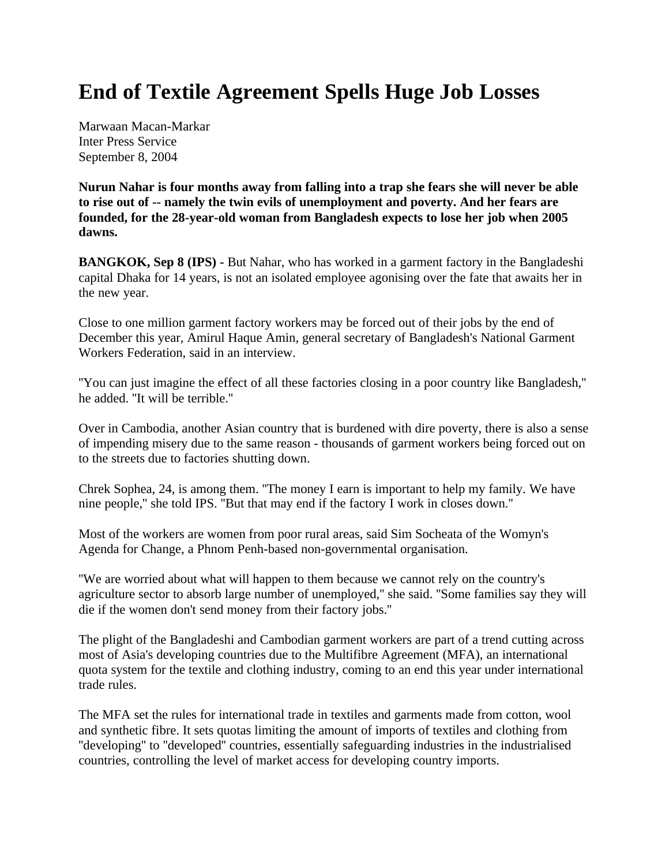## **End of Textile Agreement Spells Huge Job Losses**

Marwaan Macan-Markar Inter Press Service September 8, 2004

**Nurun Nahar is four months away from falling into a trap she fears she will never be able to rise out of -- namely the twin evils of unemployment and poverty. And her fears are founded, for the 28-year-old woman from Bangladesh expects to lose her job when 2005 dawns.**

**BANGKOK, Sep 8 (IPS) - But Nahar, who has worked in a garment factory in the Bangladeshi** capital Dhaka for 14 years, is not an isolated employee agonising over the fate that awaits her in the new year.

Close to one million garment factory workers may be forced out of their jobs by the end of December this year, Amirul Haque Amin, general secretary of Bangladesh's National Garment Workers Federation, said in an interview.

''You can just imagine the effect of all these factories closing in a poor country like Bangladesh,'' he added. ''It will be terrible.''

Over in Cambodia, another Asian country that is burdened with dire poverty, there is also a sense of impending misery due to the same reason - thousands of garment workers being forced out on to the streets due to factories shutting down.

Chrek Sophea, 24, is among them. ''The money I earn is important to help my family. We have nine people,'' she told IPS. ''But that may end if the factory I work in closes down.''

Most of the workers are women from poor rural areas, said Sim Socheata of the Womyn's Agenda for Change, a Phnom Penh-based non-governmental organisation.

''We are worried about what will happen to them because we cannot rely on the country's agriculture sector to absorb large number of unemployed,'' she said. ''Some families say they will die if the women don't send money from their factory jobs.''

The plight of the Bangladeshi and Cambodian garment workers are part of a trend cutting across most of Asia's developing countries due to the Multifibre Agreement (MFA), an international quota system for the textile and clothing industry, coming to an end this year under international trade rules.

The MFA set the rules for international trade in textiles and garments made from cotton, wool and synthetic fibre. It sets quotas limiting the amount of imports of textiles and clothing from ''developing'' to ''developed'' countries, essentially safeguarding industries in the industrialised countries, controlling the level of market access for developing country imports.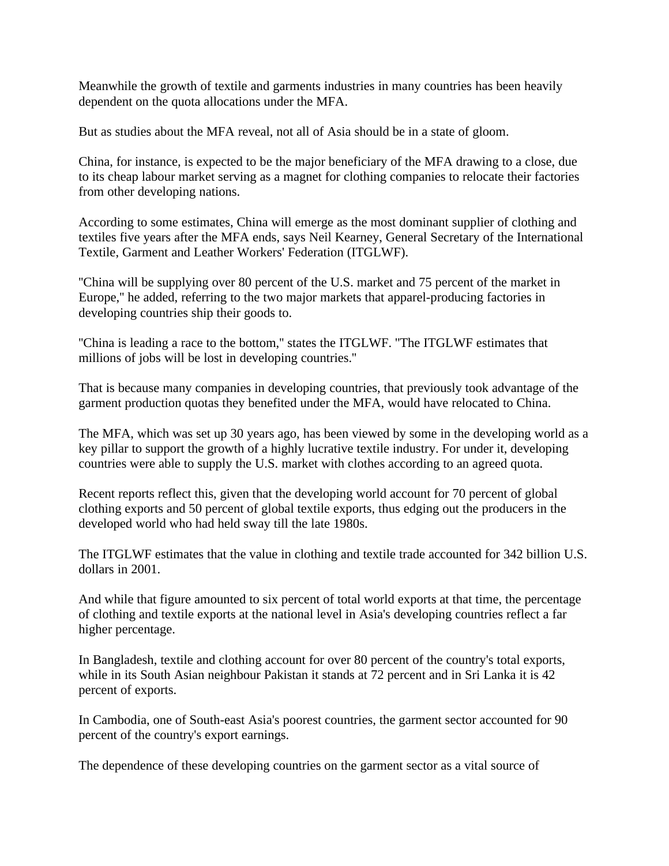Meanwhile the growth of textile and garments industries in many countries has been heavily dependent on the quota allocations under the MFA.

But as studies about the MFA reveal, not all of Asia should be in a state of gloom.

China, for instance, is expected to be the major beneficiary of the MFA drawing to a close, due to its cheap labour market serving as a magnet for clothing companies to relocate their factories from other developing nations.

According to some estimates, China will emerge as the most dominant supplier of clothing and textiles five years after the MFA ends, says Neil Kearney, General Secretary of the International Textile, Garment and Leather Workers' Federation (ITGLWF).

''China will be supplying over 80 percent of the U.S. market and 75 percent of the market in Europe,'' he added, referring to the two major markets that apparel-producing factories in developing countries ship their goods to.

''China is leading a race to the bottom,'' states the ITGLWF. ''The ITGLWF estimates that millions of jobs will be lost in developing countries.''

That is because many companies in developing countries, that previously took advantage of the garment production quotas they benefited under the MFA, would have relocated to China.

The MFA, which was set up 30 years ago, has been viewed by some in the developing world as a key pillar to support the growth of a highly lucrative textile industry. For under it, developing countries were able to supply the U.S. market with clothes according to an agreed quota.

Recent reports reflect this, given that the developing world account for 70 percent of global clothing exports and 50 percent of global textile exports, thus edging out the producers in the developed world who had held sway till the late 1980s.

The ITGLWF estimates that the value in clothing and textile trade accounted for 342 billion U.S. dollars in 2001.

And while that figure amounted to six percent of total world exports at that time, the percentage of clothing and textile exports at the national level in Asia's developing countries reflect a far higher percentage.

In Bangladesh, textile and clothing account for over 80 percent of the country's total exports, while in its South Asian neighbour Pakistan it stands at 72 percent and in Sri Lanka it is 42 percent of exports.

In Cambodia, one of South-east Asia's poorest countries, the garment sector accounted for 90 percent of the country's export earnings.

The dependence of these developing countries on the garment sector as a vital source of